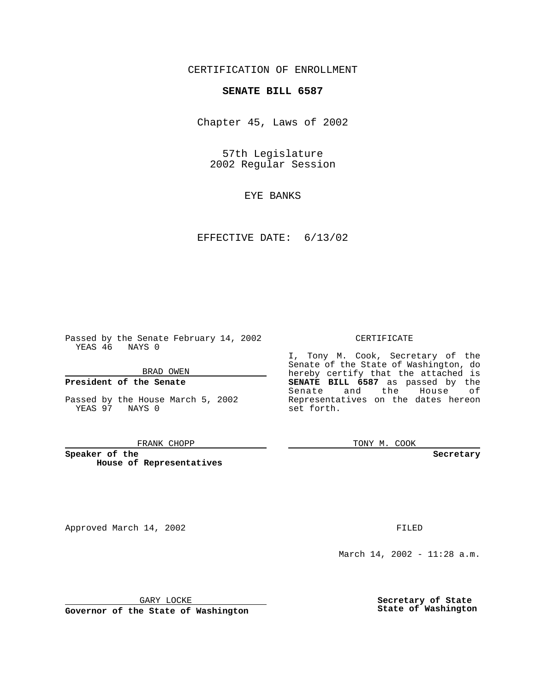CERTIFICATION OF ENROLLMENT

# **SENATE BILL 6587**

Chapter 45, Laws of 2002

57th Legislature 2002 Regular Session

EYE BANKS

EFFECTIVE DATE: 6/13/02

Passed by the Senate February 14, 2002 YEAS 46 NAYS 0

BRAD OWEN

### **President of the Senate**

Passed by the House March 5, 2002 YEAS 97 NAYS 0

#### FRANK CHOPP

**Speaker of the House of Representatives**

Approved March 14, 2002 **FILED** 

### CERTIFICATE

I, Tony M. Cook, Secretary of the Senate of the State of Washington, do hereby certify that the attached is **SENATE BILL 6587** as passed by the Senate and the House of Representatives on the dates hereon set forth.

TONY M. COOK

**Secretary**

March 14, 2002 - 11:28 a.m.

GARY LOCKE

**Governor of the State of Washington**

**Secretary of State State of Washington**